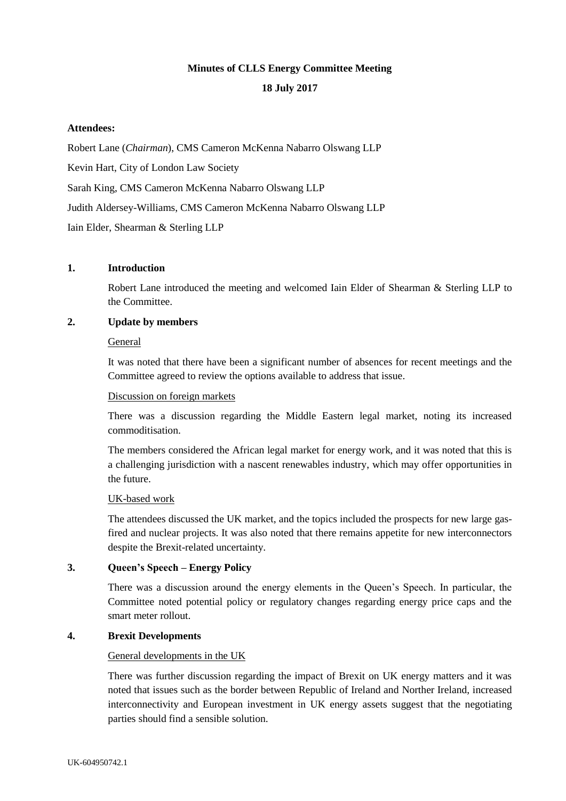# **Minutes of CLLS Energy Committee Meeting**

## **18 July 2017**

## **Attendees:**

Robert Lane (*Chairman*), CMS Cameron McKenna Nabarro Olswang LLP

Kevin Hart, City of London Law Society

Sarah King, CMS Cameron McKenna Nabarro Olswang LLP

Judith Aldersey-Williams, CMS Cameron McKenna Nabarro Olswang LLP

Iain Elder, Shearman & Sterling LLP

## **1. Introduction**

Robert Lane introduced the meeting and welcomed Iain Elder of Shearman & Sterling LLP to the Committee.

## **2. Update by members**

## General

It was noted that there have been a significant number of absences for recent meetings and the Committee agreed to review the options available to address that issue.

## Discussion on foreign markets

There was a discussion regarding the Middle Eastern legal market, noting its increased commoditisation.

The members considered the African legal market for energy work, and it was noted that this is a challenging jurisdiction with a nascent renewables industry, which may offer opportunities in the future.

## UK-based work

The attendees discussed the UK market, and the topics included the prospects for new large gasfired and nuclear projects. It was also noted that there remains appetite for new interconnectors despite the Brexit-related uncertainty.

## **3. Queen's Speech – Energy Policy**

There was a discussion around the energy elements in the Queen's Speech. In particular, the Committee noted potential policy or regulatory changes regarding energy price caps and the smart meter rollout.

## **4. Brexit Developments**

## General developments in the UK

There was further discussion regarding the impact of Brexit on UK energy matters and it was noted that issues such as the border between Republic of Ireland and Norther Ireland, increased interconnectivity and European investment in UK energy assets suggest that the negotiating parties should find a sensible solution.